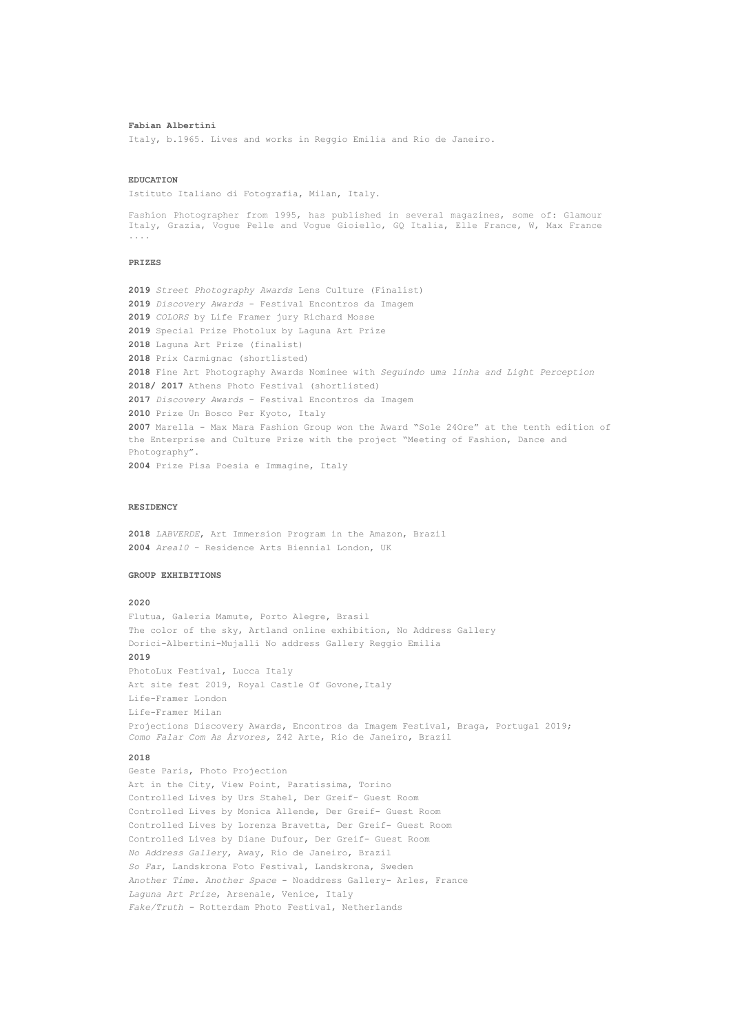#### **Fabian Albertini**

Italy, b.1965. Lives and works in Reggio Emilia and Rio de Janeiro.

### **EDUCATION**

Istituto Italiano di Fotografia, Milan, Italy.

Fashion Photographer from 1995, has published in several magazines, some of: Glamour Italy, Grazia, Vogue Pelle and Vogue Gioiello, GQ Italia, Elle France, W, Max France ....

# **PRIZES**

 *Street Photography Awards* Lens Culture (Finalist) *Discovery Awards* - Festival Encontros da Imagem *COLORS* by Life Framer jury Richard Mosse Special Prize Photolux by Laguna Art Prize Laguna Art Prize (finalist) Prix Carmignac (shortlisted) Fine Art Photography Awards Nominee with *Seguindo uma linha and Light Perception* **2018/ 2017** Athens Photo Festival (shortlisted) *Discovery Awards* - Festival Encontros da Imagem Prize Un Bosco Per Kyoto, Italy Marella - Max Mara Fashion Group won the Award "Sole 24Ore" at the tenth edition of the Enterprise and Culture Prize with the project "Meeting of Fashion, Dance and Photography". Prize Pisa Poesia e Immagine, Italy

## **RESIDENCY**

**2018** *LABVERDE*, Art Immersion Program in the Amazon, Brazil **2004** *Area10* - Residence Arts Biennial London, UK

### **GROUP EXHIBITIONS**

### **2020**

Flutua, Galeria Mamute, Porto Alegre, Brasil The color of the sky, Artland online exhibition, No Address Gallery Dorici-Albertini-Mujalli No address Gallery Reggio Emilia

# **2019**

PhotoLux Festival, Lucca Italy Art site fest 2019, Royal Castle Of Govone, Italy Life-Framer London Life-Framer Milan Projections Discovery Awards, Encontros da Imagem Festival, Braga, Portugal 2019; *Como Falar Com As Àrvores,* Z42 Arte, Rio de Janeiro, Brazil

# **2018**

Geste Paris, Photo Projection Art in the City, View Point, Paratissima, Torino Controlled Lives by Urs Stahel, Der Greif- Guest Room Controlled Lives by Monica Allende, Der Greif- Guest Room Controlled Lives by Lorenza Bravetta, Der Greif- Guest Room Controlled Lives by Diane Dufour, Der Greif- Guest Room *No Address Gallery*, Away, Rio de Janeiro, Brazil *So Far*, Landskrona Foto Festival, Landskrona, Sweden *Another Time. Another Space* - Noaddress Gallery- Arles, France *Laguna Art Prize*, Arsenale, Venice, Italy *Fake/Truth -* Rotterdam Photo Festival, Netherlands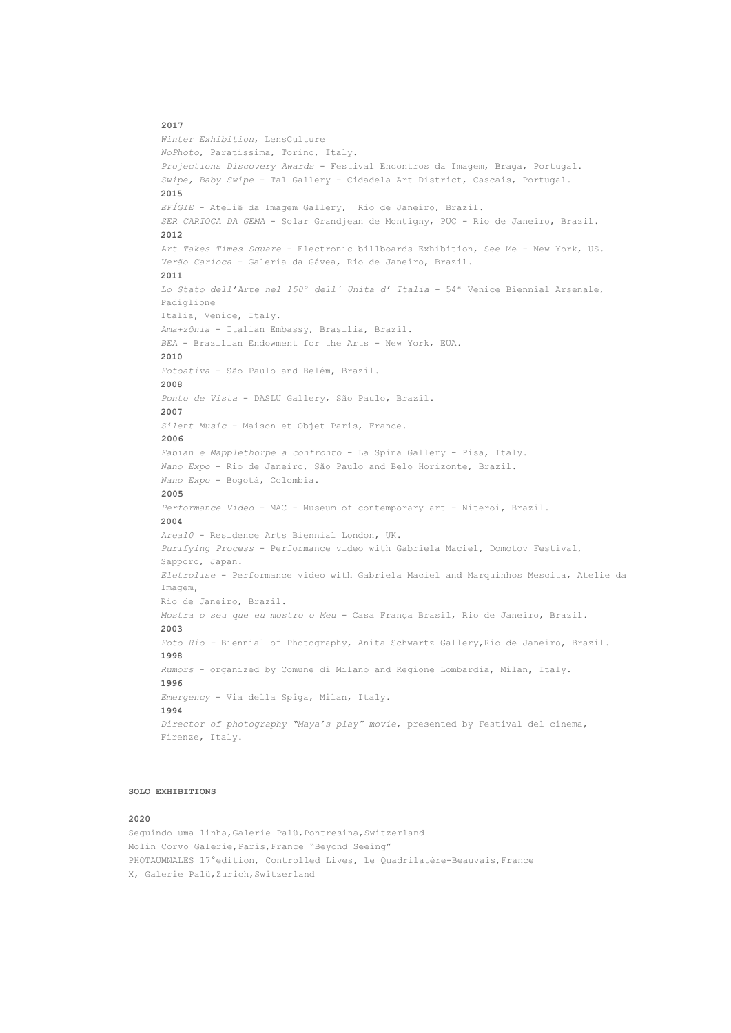## **2017**

```
Winter Exhibition, LensCulture
NoPhoto, Paratissima, Torino, Italy.
Projections Discovery Awards - Festival Encontros da Imagem, Braga, Portugal.
Swipe, Baby Swipe - Tal Gallery - Cidadela Art District, Cascais, Portugal.
2015
EFÍGIE - Ateliê da Imagem Gallery, Rio de Janeiro, Brazil.
SER CARIOCA DA GEMA - Solar Grandjean de Montigny, PUC - Rio de Janeiro, Brazil.
2012
Art Takes Times Square - Electronic billboards Exhibition, See Me - New York, US.
Verão Carioca - Galeria da Gávea, Rio de Janeiro, Brazil.
2011
Lo Stato dell'Arte nel 150º dell´ Unita d' Italia - 54ª Venice Biennial Arsenale, 
Padiglione
Italia, Venice, Italy.
Ama+zônia - Italian Embassy, Brasilia, Brazil.
BEA - Brazilian Endowment for the Arts - New York, EUA.
2010
Fotoativa - São Paulo and Belém, Brazil.
2008
Ponto de Vista - DASLU Gallery, São Paulo, Brazil.
2007
Silent Music - Maison et Objet Paris, France.
 2006
Fabian e Mapplethorpe a confronto - La Spina Gallery - Pisa, Italy.
Nano Expo - Rio de Janeiro, São Paulo and Belo Horizonte, Brazil.
Nano Expo - Bogotá, Colombia.
 2005
Performance Video - MAC - Museum of contemporary art - Niteroi, Brazil.
2004
Area10 - Residence Arts Biennial London, UK.
Purifying Process - Performance video with Gabriela Maciel, Domotov Festival, 
Sapporo, Japan.
Eletrolise - Performance video with Gabriela Maciel and Marquinhos Mescita, Atelie da 
Imagem,
Rio de Janeiro, Brazil.
Mostra o seu que eu mostro o Meu - Casa França Brasil, Rio de Janeiro, Brazil.
2003
Foto Rio - Biennial of Photography, Anita Schwartz Gallery,Rio de Janeiro, Brazil.
1998
Rumors - organized by Comune di Milano and Regione Lombardia, Milan, Italy.
1996
Emergency - Via della Spiga, Milan, Italy.
1994
Director of photography "Maya's play" movie, presented by Festival del cinema, 
Firenze, Italy.
```
### **SOLO EXHIBITIONS**

#### **2020**

Seguindo uma linha, Galerie Palü, Pontresina, Switzerland Molin Corvo Galerie, Paris, France "Beyond Seeing" PHOTAUMNALES 17°edition, Controlled Lives, Le Quadrilatère-Beauvais, France X, Galerie Palü, Zurich, Switzerland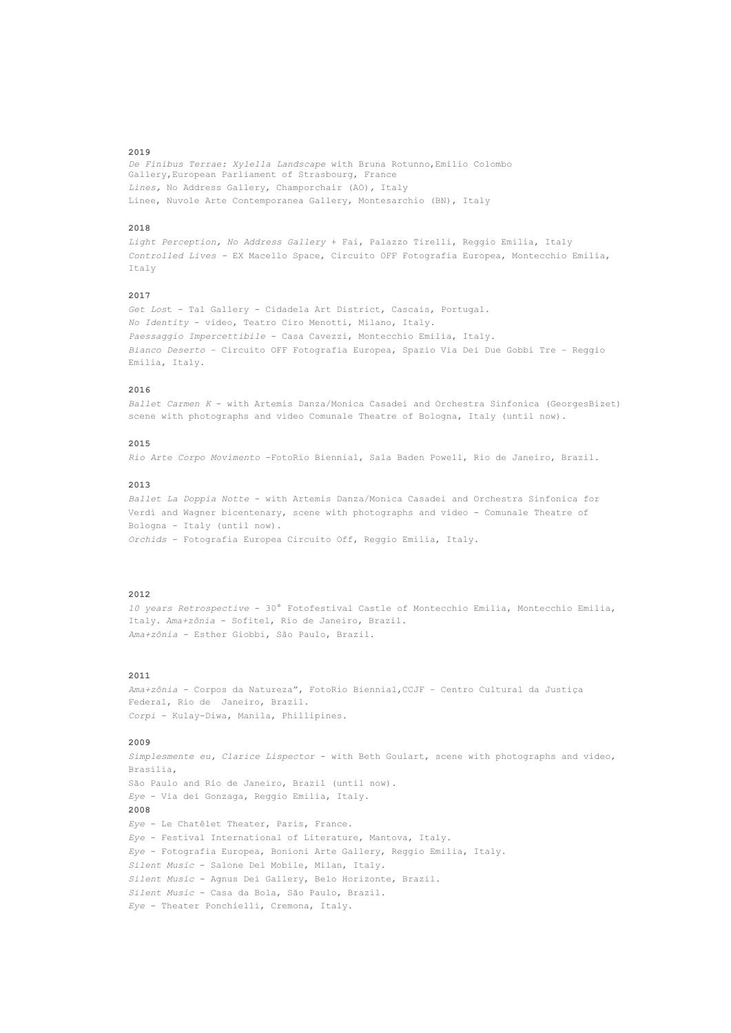#### **2019**

*De Finibus Terrae: Xylella Landscape* with Bruna Rotunno,Emilio Colombo Gallery,European Parliament of Strasbourg, France *Lines,* No Address Gallery, Champorchair (AO)*,* Italy Linee, Nuvole Arte Contemporanea Gallery, Montesarchio (BN), Italy

## **2018**

*Light Perception, No Address Gallery* + Fai, Palazzo Tirelli, Reggio Emilia, Italy *Controlled Lives -* EX Macello Space, Circuito OFF Fotografia Europea, Montecchio Emilia, Ttaly

## **2017**

*Get Los*t - Tal Gallery - Cidadela Art District, Cascais, Portugal. *No Identity* - video, Teatro Ciro Menotti, Milano, Italy. *Paessaggio Impercettibile* - Casa Cavezzi, Montecchio Emilia, Italy. *Bianco Deserto* – Circuito OFF Fotografia Europea, Spazio Via Dei Due Gobbi Tre – Reggio Emilia, Italy.

# **2016**

*Ballet Carmen K* - with Artemis Danza/Monica Casadei and Orchestra Sinfonica (GeorgesBizet) scene with photographs and video Comunale Theatre of Bologna, Italy (until now).

# **2015**

*Rio Arte Corpo Movimento* -FotoRio Biennial, Sala Baden Powell, Rio de Janeiro, Brazil.

#### **2013**

*Ballet La Doppia Notte* - with Artemis Danza/Monica Casadei and Orchestra Sinfonica for Verdi and Wagner bicentenary, scene with photographs and video - Comunale Theatre of Bologna - Italy (until now). *Orchids* - Fotografia Europea Circuito Off, Reggio Emilia, Italy.

#### **2012**

*10 years Retrospective* - 30° Fotofestival Castle of Montecchio Emilia, Montecchio Emilia, Italy. *Ama+zônia* - Sofitel, Rio de Janeiro, Brazil. *Ama+zônia* - Esther Giobbi, São Paulo, Brazil.

## **2011**

*Ama+zônia* - Corpos da Natureza", FotoRio Biennial,CCJF – Centro Cultural da Justiça Federal, Rio de Janeiro, Brazil. *Corpi* - Kulay-Diwa, Manila, Phillipines.

# **2009**

*Simplesmente eu, Clarice Lispector* - with Beth Goulart, scene with photographs and video, Brasilia, São Paulo and Rio de Janeiro, Brazil (until now). *Eye* - Via dei Gonzaga, Reggio Emilia, Italy. **2008** *Eye* - Le Chatêlet Theater, Paris, France. *Eye* - Festival International of Literature, Mantova, Italy. *Eye* - Fotografia Europea, Bonioni Arte Gallery, Reggio Emilia, Italy. *Silent Music* - Salone Del Mobile, Milan, Italy. *Silent Music* - Agnus Dei Gallery, Belo Horizonte, Brazil. *Silent Music* - Casa da Bola, São Paulo, Brazil. *Eye* - Theater Ponchielli, Cremona, Italy.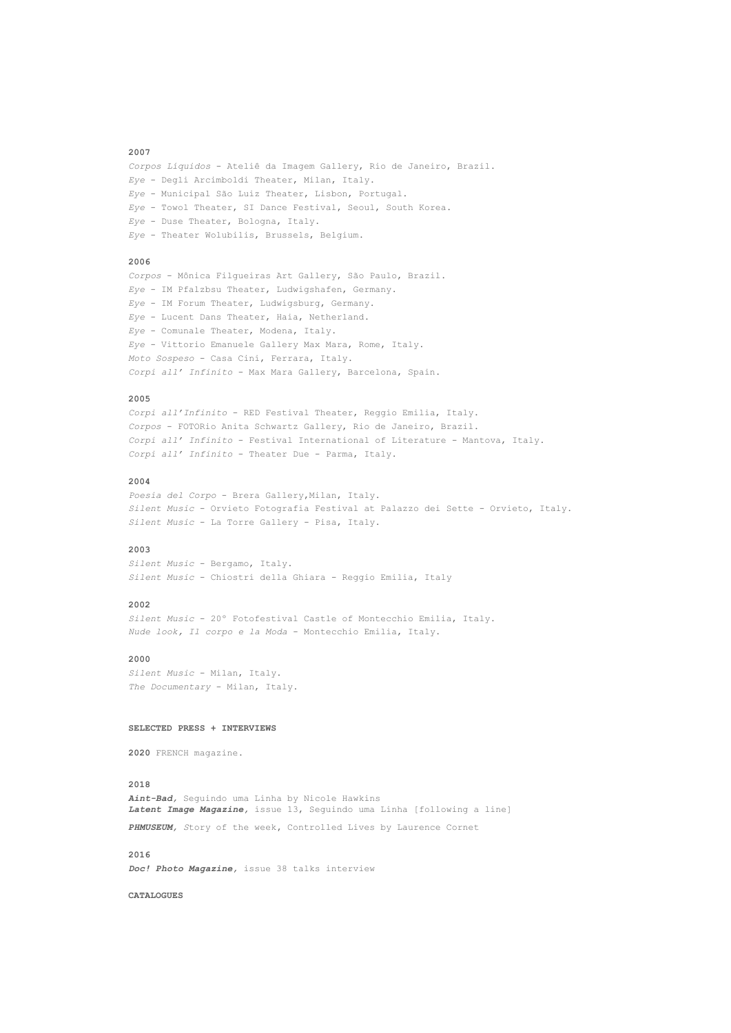#### **2007**

*Corpos Líquidos* - Ateliê da Imagem Gallery, Rio de Janeiro, Brazil. *Eye* - Degli Arcimboldi Theater, Milan, Italy. *Eye* - Municipal São Luiz Theater, Lisbon, Portugal. *Eye* - Towol Theater, SI Dance Festival, Seoul, South Korea. *Eye* - Duse Theater, Bologna, Italy. *Eye* - Theater Wolubilis, Brussels, Belgium.

# **2006**

*Corpos* - Mônica Filgueiras Art Gallery, São Paulo, Brazil. *Eye* - IM Pfalzbsu Theater, Ludwigshafen, Germany. *Eye* - IM Forum Theater, Ludwigsburg, Germany. *Eye* - Lucent Dans Theater, Haia, Netherland. *Eye* - Comunale Theater, Modena, Italy. *Eye* - Vittorio Emanuele Gallery Max Mara, Rome, Italy. *Moto Sospeso* - Casa Cini, Ferrara, Italy. *Corpi all' Infinito* - Max Mara Gallery, Barcelona, Spain.

# **2005**

*Corpi all'Infinito* - RED Festival Theater, Reggio Emilia, Italy. *Corpos* - FOTORio Anita Schwartz Gallery, Rio de Janeiro, Brazil. *Corpi all' Infinito* - Festival International of Literature - Mantova, Italy. *Corpi all' Infinito* - Theater Due - Parma, Italy.

# **2004**

Poesia del Corpo - Brera Gallery, Milan, Italy. *Silent Music* - Orvieto Fotografia Festival at Palazzo dei Sette - Orvieto, Italy. *Silent Music* - La Torre Gallery - Pisa, Italy.

#### **2003**

*Silent Music* - Bergamo, Italy. *Silent Music* - Chiostri della Ghiara - Reggio Emilia, Italy

#### **2002**

*Silent Music* - 20º Fotofestival Castle of Montecchio Emilia, Italy. *Nude look, Il corpo e la Moda* - Montecchio Emilia, Italy.

### **2000**

*Silent Music* - Milan, Italy. *The Documentary* - Milan, Italy.

## **SELECTED PRESS + INTERVIEWS**

**2020** FRENCH magazine.

## **2018**

*Aint-Bad,* Seguindo uma Linha by Nicole Hawkins *Latent Image Magazine,* issue 13, Seguindo uma Linha [following a line] *PHMUSEUM, S*tory of the week**,** Controlled Lives by Laurence Cornet

# **2016**  *Doc! Photo Magazine,* issue 38 talks interview

**CATALOGUES**